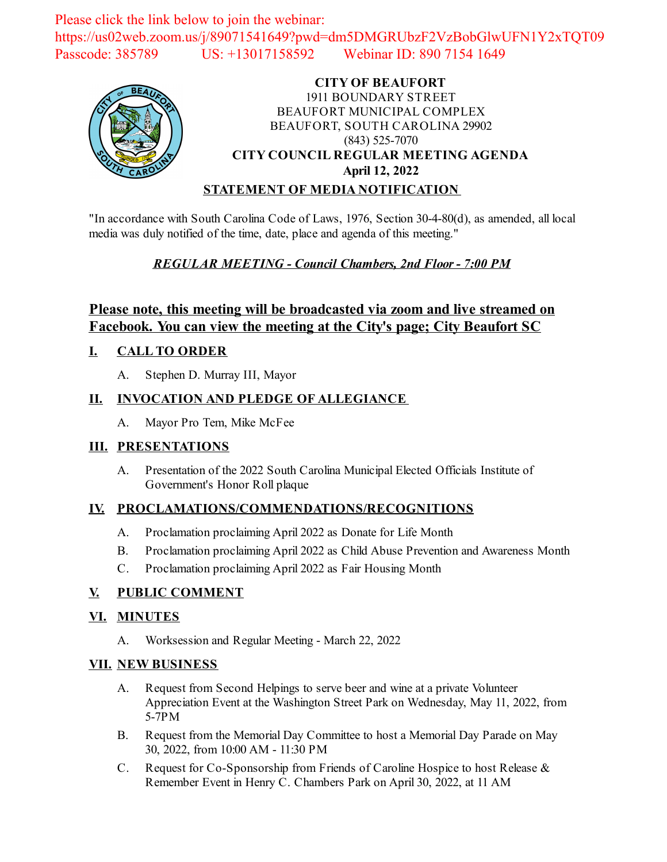Please click the link below to join the webinar: https://us02web.zoom.us/j/89071541649?pwd=dm5DMGRUbzF2VzBobGlwUFN1Y2xTQT09 Passcode: 385789 US: +13017158592 Webinar ID: 890 7154 1649



# **CITY OF BEAUFORT** 1911 BOUNDARY STREET BEAUFORT MUNICIPAL COMPLEX BEAUFORT, SOUTH CAROLINA 29902 (843) 525-7070 **CITY COUNCIL REGULAR MEETING AGENDA April 12, 2022**

## **STATEMENT OF MEDIA NOTIFICATION**

"In accordance with South Carolina Code of Laws, 1976, Section 30-4-80(d), as amended, all local media was duly notified of the time, date, place and agenda of this meeting."

## *REGULAR MEETING - Council Chambers, 2nd Floor - 7:00 PM*

# **Please note, this meeting will be broadcasted via zoom and live streamed on Facebook. You can view the meeting at the City's page; City Beaufort SC**

## **I. CALL TO ORDER**

A. Stephen D. Murray III, Mayor

## **II. INVOCATION AND PLEDGE OF ALLEGIANCE**

A. Mayor Pro Tem, Mike McFee

#### **III. PRESENTATIONS**

A. [Presentation of the 2022 South Carolina Municipal Elected Officials Institute of](file:///C:/Windows/TEMP/CoverSheet.aspx?ItemID=2472&MeetingID=353) Government's Honor Roll plaque

#### **IV. PROCLAMATIONS/COMMENDATIONS/RECOGNITIONS**

- A. [Proclamation proclaiming April 2022 as Donate for Life Month](file:///C:/Windows/TEMP/CoverSheet.aspx?ItemID=2470&MeetingID=353)
- B. [Proclamation proclaiming April 2022 as Child Abuse Prevention and Awareness Month](file:///C:/Windows/TEMP/CoverSheet.aspx?ItemID=2471&MeetingID=353)
- C. [Proclamation proclaiming April 2022 as Fair Housing Month](file:///C:/Windows/TEMP/CoverSheet.aspx?ItemID=2475&MeetingID=353)

#### **V. PUBLIC COMMENT**

#### **VI. MINUTES**

A. Worksession and Regular Meeting - March 22, 2022

#### **VII. NEW BUSINESS**

- A. Request from Second Helpings to serve beer and wine at a private Volunteer [Appreciation Event at the Washington Street Park on Wednesday, May 11, 2022, from](file:///C:/Windows/TEMP/CoverSheet.aspx?ItemID=2483&MeetingID=353) 5-7PM
- B. [Request from the Memorial Day Committee to host a Memorial Day Parade on May](file:///C:/Windows/TEMP/CoverSheet.aspx?ItemID=2484&MeetingID=353) 30, 2022, from 10:00 AM - 11:30 PM
- C. [Request for Co-Sponsorship from Friends of Caroline Hospice to host Release &](file:///C:/Windows/TEMP/CoverSheet.aspx?ItemID=2485&MeetingID=353) Remember Event in Henry C. Chambers Park on April 30, 2022, at 11 AM